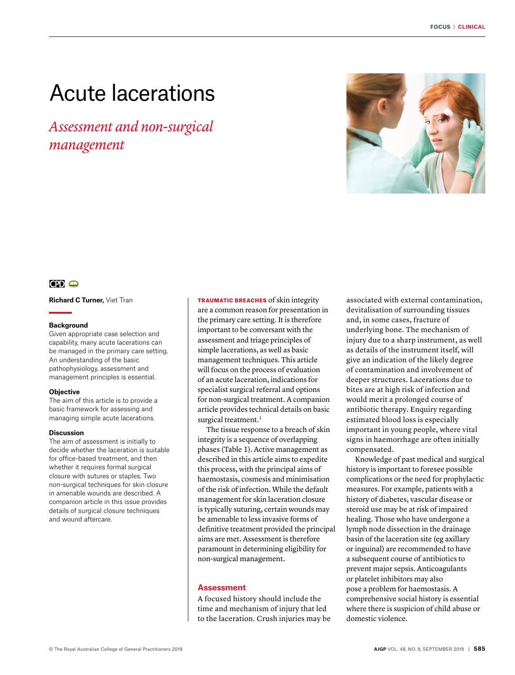# Acute lacerations

*Assessment and non-surgical management*



# **CPD CD**

**Richard C Turner,** Viet Tran

#### **Background**

Given appropriate case selection and capability, many acute lacerations can be managed in the primary care setting. An understanding of the basic pathophysiology, assessment and management principles is essential.

# **Objective**

The aim of this article is to provide a basic framework for assessing and managing simple acute lacerations.

#### **Discussion**

The aim of assessment is initially to decide whether the laceration is suitable for office-based treatment, and then whether it requires formal surgical closure with sutures or staples. Two non-surgical techniques for skin closure in amenable wounds are described. A companion article in this issue provides details of surgical closure techniques and wound aftercare.

TRAUMATIC BREACHES of skin integrity are a common reason for presentation in the primary care setting. It is therefore important to be conversant with the assessment and triage principles of simple lacerations, as well as basic management techniques. This article will focus on the process of evaluation of an acute laceration, indications for specialist surgical referral and options for non-surgical treatment. A companion article provides technical details on basic surgical treatment.<sup>1</sup>

The tissue response to a breach of skin integrity is a sequence of overlapping phases (Table 1). Active management as described in this article aims to expedite this process, with the principal aims of haemostasis, cosmesis and minimisation of the risk of infection. While the default management for skin laceration closure is typically suturing, certain wounds may be amenable to less invasive forms of definitive treatment provided the principal aims are met. Assessment is therefore paramount in determining eligibility for non-surgical management.

# **Assessment**

A focused history should include the time and mechanism of injury that led to the laceration. Crush injuries may be associated with external contamination, devitalisation of surrounding tissues and, in some cases, fracture of underlying bone. The mechanism of injury due to a sharp instrument, as well as details of the instrument itself, will give an indication of the likely degree of contamination and involvement of deeper structures. Lacerations due to bites are at high risk of infection and would merit a prolonged course of antibiotic therapy. Enquiry regarding estimated blood loss is especially important in young people, where vital signs in haemorrhage are often initially compensated.

Knowledge of past medical and surgical history is important to foresee possible complications or the need for prophylactic measures. For example, patients with a history of diabetes, vascular disease or steroid use may be at risk of impaired healing. Those who have undergone a lymph node dissection in the drainage basin of the laceration site (eg axillary or inguinal) are recommended to have a subsequent course of antibiotics to prevent major sepsis. Anticoagulants or platelet inhibitors may also pose a problem for haemostasis. A comprehensive social history is essential where there is suspicion of child abuse or domestic violence.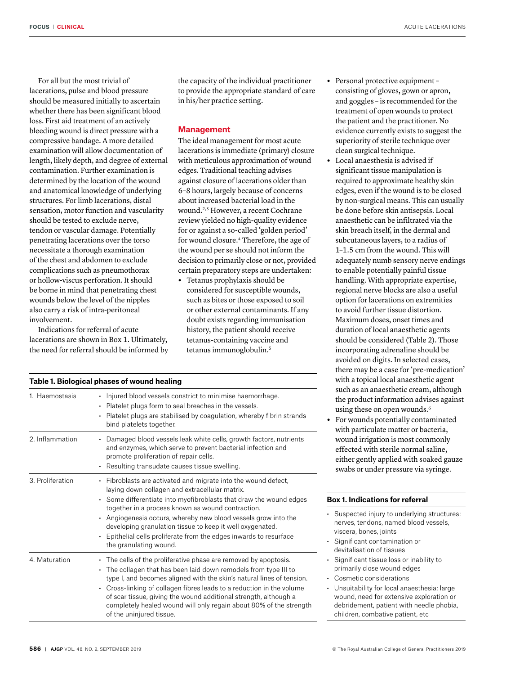For all but the most trivial of lacerations, pulse and blood pressure should be measured initially to ascertain whether there has been significant blood loss. First aid treatment of an actively bleeding wound is direct pressure with a compressive bandage. A more detailed examination will allow documentation of length, likely depth, and degree of external contamination. Further examination is determined by the location of the wound and anatomical knowledge of underlying structures. For limb lacerations, distal sensation, motor function and vascularity should be tested to exclude nerve, tendon or vascular damage. Potentially penetrating lacerations over the torso necessitate a thorough examination of the chest and abdomen to exclude complications such as pneumothorax or hollow-viscus perforation. It should be borne in mind that penetrating chest wounds below the level of the nipples also carry a risk of intra-peritoneal involvement.

Indications for referral of acute lacerations are shown in Box 1. Ultimately, the need for referral should be informed by the capacity of the individual practitioner to provide the appropriate standard of care in his/her practice setting.

#### **Management**

The ideal management for most acute lacerations is immediate (primary) closure with meticulous approximation of wound edges. Traditional teaching advises against closure of lacerations older than 6–8 hours, largely because of concerns about increased bacterial load in the wound.2,3 However, a recent Cochrane review yielded no high-quality evidence for or against a so-called 'golden period' for wound closure.<sup>4</sup> Therefore, the age of the wound per se should not inform the decision to primarily close or not, provided certain preparatory steps are undertaken:

**•** Tetanus prophylaxis should be considered for susceptible wounds, such as bites or those exposed to soil or other external contaminants. If any doubt exists regarding immunisation history, the patient should receive tetanus-containing vaccine and tetanus immunoglobulin.5

| Table 1. Biological phases of wound healing |                                                                                                                                                                                                                                                                                                                                                                                                                                                                          |  |  |  |
|---------------------------------------------|--------------------------------------------------------------------------------------------------------------------------------------------------------------------------------------------------------------------------------------------------------------------------------------------------------------------------------------------------------------------------------------------------------------------------------------------------------------------------|--|--|--|
| 1 Haemostasis                               | • Injured blood vessels constrict to minimise haemorrhage.<br>• Platelet plugs form to seal breaches in the vessels.<br>• Platelet plugs are stabilised by coagulation, whereby fibrin strands<br>bind platelets together.                                                                                                                                                                                                                                               |  |  |  |
| 2. Inflammation                             | • Damaged blood vessels leak white cells, growth factors, nutrients<br>and enzymes, which serve to prevent bacterial infection and<br>promote proliferation of repair cells.<br>Resulting transudate causes tissue swelling.                                                                                                                                                                                                                                             |  |  |  |
| 3. Proliferation                            | • Fibroblasts are activated and migrate into the wound defect,<br>laying down collagen and extracellular matrix.<br>• Some differentiate into myofibroblasts that draw the wound edges<br>together in a process known as wound contraction.<br>• Angiogenesis occurs, whereby new blood vessels grow into the<br>developing granulation tissue to keep it well oxygenated.<br>Epithelial cells proliferate from the edges inwards to resurface<br>the granulating wound. |  |  |  |
| 4. Maturation                               | • The cells of the proliferative phase are removed by apoptosis.<br>• The collagen that has been laid down remodels from type III to<br>type I, and becomes aligned with the skin's natural lines of tension.<br>• Cross-linking of collagen fibres leads to a reduction in the volume<br>of scar tissue, giving the wound additional strength, although a<br>completely healed wound will only regain about 80% of the strength<br>of the uninjured tissue.             |  |  |  |

- **•** Personal protective equipment consisting of gloves, gown or apron, and goggles – is recommended for the treatment of open wounds to protect the patient and the practitioner. No evidence currently exists to suggest the superiority of sterile technique over clean surgical technique.
- **•** Local anaesthesia is advised if significant tissue manipulation is required to approximate healthy skin edges, even if the wound is to be closed by non-surgical means. This can usually be done before skin antisepsis. Local anaesthetic can be infiltrated via the skin breach itself, in the dermal and subcutaneous layers, to a radius of 1–1.5 cm from the wound. This will adequately numb sensory nerve endings to enable potentially painful tissue handling. With appropriate expertise, regional nerve blocks are also a useful option for lacerations on extremities to avoid further tissue distortion. Maximum doses, onset times and duration of local anaesthetic agents should be considered (Table 2). Those incorporating adrenaline should be avoided on digits. In selected cases, there may be a case for 'pre-medication' with a topical local anaesthetic agent such as an anaesthetic cream, although the product information advises against using these on open wounds.<sup>6</sup>
- **•** For wounds potentially contaminated with particulate matter or bacteria, wound irrigation is most commonly effected with sterile normal saline, either gently applied with soaked gauze swabs or under pressure via syringe.

# **Box 1. Indications for referral**

- Suspected injury to underlying structures: nerves, tendons, named blood vessels, viscera, bones, joints
- Significant contamination or devitalisation of tissues
- Significant tissue loss or inability to primarily close wound edges
- Cosmetic considerations
- Unsuitability for local anaesthesia: large wound, need for extensive exploration or debridement, patient with needle phobia, children, combative patient, etc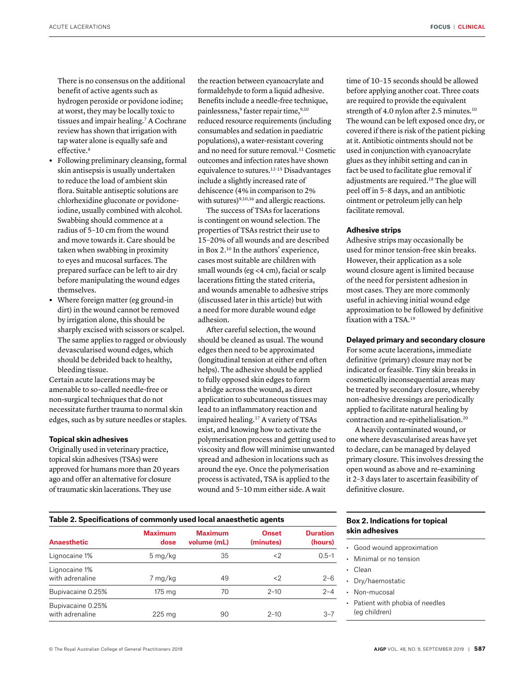There is no consensus on the additional benefit of active agents such as hydrogen peroxide or povidone iodine; at worst, they may be locally toxic to tissues and impair healing.7 A Cochrane review has shown that irrigation with tap water alone is equally safe and effective.<sup>8</sup>

- **•** Following preliminary cleansing, formal skin antisepsis is usually undertaken to reduce the load of ambient skin flora. Suitable antiseptic solutions are chlorhexidine gluconate or povidoneiodine, usually combined with alcohol. Swabbing should commence at a radius of 5–10 cm from the wound and move towards it. Care should be taken when swabbing in proximity to eyes and mucosal surfaces. The prepared surface can be left to air dry before manipulating the wound edges themselves.
- **•** Where foreign matter (eg ground-in dirt) in the wound cannot be removed by irrigation alone, this should be sharply excised with scissors or scalpel. The same applies to ragged or obviously devascularised wound edges, which should be debrided back to healthy, bleeding tissue.

Certain acute lacerations may be amenable to so-called needle-free or non-surgical techniques that do not necessitate further trauma to normal skin edges, such as by suture needles or staples.

### **Topical skin adhesives**

Originally used in veterinary practice, topical skin adhesives (TSAs) were approved for humans more than 20 years ago and offer an alternative for closure of traumatic skin lacerations. They use

the reaction between cyanoacrylate and formaldehyde to form a liquid adhesive. Benefits include a needle-free technique, painlessness,<sup>9</sup> faster repair time,<sup>9,10</sup> reduced resource requirements (including consumables and sedation in paediatric populations), a water-resistant covering and no need for suture removal.<sup>11</sup> Cosmetic outcomes and infection rates have shown equivalence to sutures.12–15 Disadvantages include a slightly increased rate of dehiscence (4% in comparison to 2% with sutures)<sup>9,10,16</sup> and allergic reactions.

The success of TSAs for lacerations is contingent on wound selection. The properties of TSAs restrict their use to 15–20% of all wounds and are described in Box 2.10 In the authors' experience, cases most suitable are children with small wounds (eg <4 cm), facial or scalp lacerations fitting the stated criteria, and wounds amenable to adhesive strips (discussed later in this article) but with a need for more durable wound edge adhesion.

After careful selection, the wound should be cleaned as usual. The wound edges then need to be approximated (longitudinal tension at either end often helps). The adhesive should be applied to fully opposed skin edges to form a bridge across the wound, as direct application to subcutaneous tissues may lead to an inflammatory reaction and impaired healing.17 A variety of TSAs exist, and knowing how to activate the polymerisation process and getting used to viscosity and flow will minimise unwanted spread and adhesion in locations such as around the eye. Once the polymerisation process is activated, TSA is applied to the wound and 5–10 mm either side. A wait

time of 10–15 seconds should be allowed before applying another coat. Three coats are required to provide the equivalent strength of 4.0 nylon after 2.5 minutes.<sup>10</sup> The wound can be left exposed once dry, or covered if there is risk of the patient picking at it. Antibiotic ointments should not be used in conjunction with cyanoacrylate glues as they inhibit setting and can in fact be used to facilitate glue removal if adjustments are required.18 The glue will peel off in 5–8 days, and an antibiotic ointment or petroleum jelly can help facilitate removal.

#### **Adhesive strips**

Adhesive strips may occasionally be used for minor tension-free skin breaks. However, their application as a sole wound closure agent is limited because of the need for persistent adhesion in most cases. They are more commonly useful in achieving initial wound edge approximation to be followed by definitive fixation with a TSA.19

## **Delayed primary and secondary closure**

For some acute lacerations, immediate definitive (primary) closure may not be indicated or feasible. Tiny skin breaks in cosmetically inconsequential areas may be treated by secondary closure, whereby non-adhesive dressings are periodically applied to facilitate natural healing by contraction and re-epithelialisation.20

A heavily contaminated wound, or one where devascularised areas have yet to declare, can be managed by delayed primary closure. This involves dressing the open wound as above and re-examining it 2–3 days later to ascertain feasibility of definitive closure.

| Table 2. Specifications of commonly used local anaesthetic agents |                        |                               |                           |                            |  |
|-------------------------------------------------------------------|------------------------|-------------------------------|---------------------------|----------------------------|--|
| <b>Anaesthetic</b>                                                | <b>Maximum</b><br>dose | <b>Maximum</b><br>volume (mL) | <b>Onset</b><br>(minutes) | <b>Duration</b><br>(hours) |  |
| Lignocaine 1%                                                     | $5 \,\mathrm{mg/kg}$   | 35                            | $\langle 2$               | $0.5 - 1$                  |  |
| Lignocaine 1%<br>with adrenaline                                  | 7 mg/kg                | 49                            | $\langle 2$               | $2 - 6$                    |  |
| Bupivacaine 0.25%                                                 | 175 mg                 | 70                            | $2 - 10$                  | $2 - 4$                    |  |
| Bupivacaine 0.25%<br>with adrenaline                              | $225 \text{ ma}$       | 90                            | $2 - 10$                  | $3 - 7$                    |  |

# **Box 2. Indications for topical skin adhesives**

- Good wound approximation
- Minimal or no tension
- Clean
- Dry/haemostatic
- Non-mucosal
- Patient with phobia of needles (eg children)